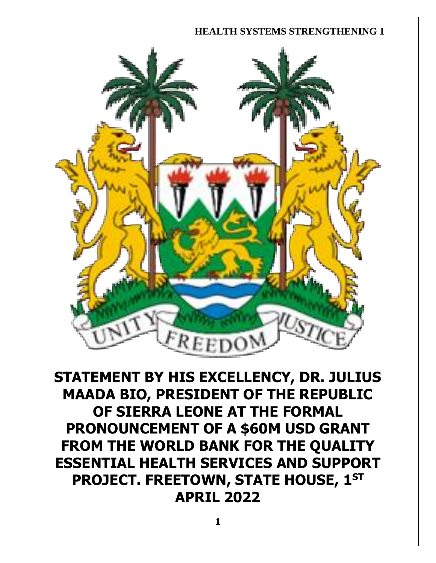

**STATEMENT BY HIS EXCELLENCY, DR. JULIUS MAADA BIO, PRESIDENT OF THE REPUBLIC OF SIERRA LEONE AT THE FORMAL PRONOUNCEMENT OF A \$60M USD GRANT FROM THE WORLD BANK FOR THE QUALITY ESSENTIAL HEALTH SERVICES AND SUPPORT PROJECT. FREETOWN, STATE HOUSE, 1ST APRIL 2022**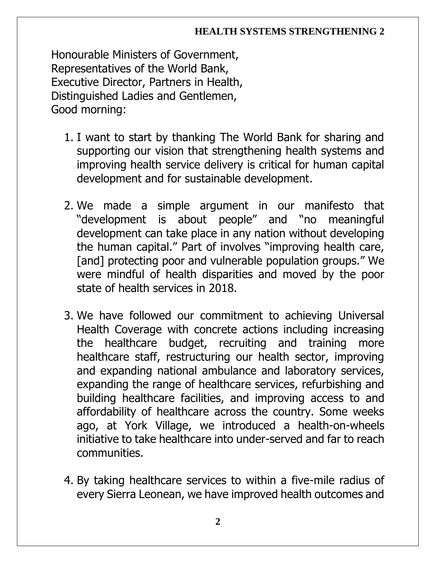Honourable Ministers of Government, Representatives of the World Bank, Executive Director, Partners in Health, Distinguished Ladies and Gentlemen, Good morning:

- 1. I want to start by thanking The World Bank for sharing and supporting our vision that strengthening health systems and improving health service delivery is critical for human capital development and for sustainable development.
- 2. We made a simple argument in our manifesto that "development is about people" and "no meaningful development can take place in any nation without developing the human capital." Part of involves "improving health care, [and] protecting poor and vulnerable population groups." We were mindful of health disparities and moved by the poor state of health services in 2018.
- 3. We have followed our commitment to achieving Universal Health Coverage with concrete actions including increasing the healthcare budget, recruiting and training more healthcare staff, restructuring our health sector, improving and expanding national ambulance and laboratory services, expanding the range of healthcare services, refurbishing and building healthcare facilities, and improving access to and affordability of healthcare across the country. Some weeks ago, at York Village, we introduced a health-on-wheels initiative to take healthcare into under-served and far to reach communities.
- 4. By taking healthcare services to within a five-mile radius of every Sierra Leonean, we have improved health outcomes and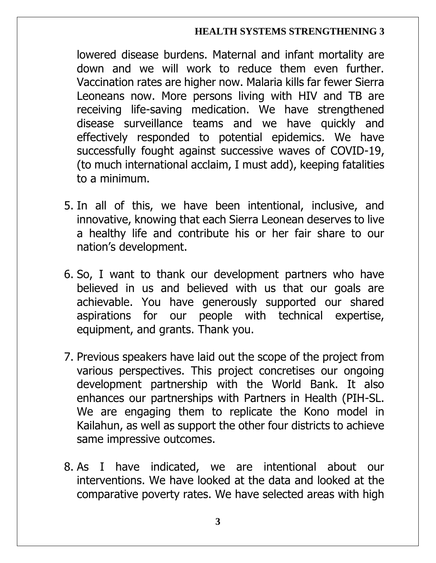lowered disease burdens. Maternal and infant mortality are down and we will work to reduce them even further. Vaccination rates are higher now. Malaria kills far fewer Sierra Leoneans now. More persons living with HIV and TB are receiving life-saving medication. We have strengthened disease surveillance teams and we have quickly and effectively responded to potential epidemics. We have successfully fought against successive waves of COVID-19, (to much international acclaim, I must add), keeping fatalities to a minimum.

- 5. In all of this, we have been intentional, inclusive, and innovative, knowing that each Sierra Leonean deserves to live a healthy life and contribute his or her fair share to our nation's development.
- 6. So, I want to thank our development partners who have believed in us and believed with us that our goals are achievable. You have generously supported our shared aspirations for our people with technical expertise, equipment, and grants. Thank you.
- 7. Previous speakers have laid out the scope of the project from various perspectives. This project concretises our ongoing development partnership with the World Bank. It also enhances our partnerships with Partners in Health (PIH-SL. We are engaging them to replicate the Kono model in Kailahun, as well as support the other four districts to achieve same impressive outcomes.
- 8. As I have indicated, we are intentional about our interventions. We have looked at the data and looked at the comparative poverty rates. We have selected areas with high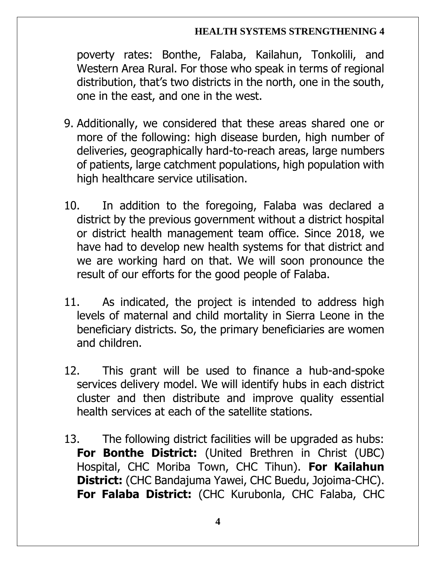poverty rates: Bonthe, Falaba, Kailahun, Tonkolili, and Western Area Rural. For those who speak in terms of regional distribution, that's two districts in the north, one in the south, one in the east, and one in the west.

- 9. Additionally, we considered that these areas shared one or more of the following: high disease burden, high number of deliveries, geographically hard-to-reach areas, large numbers of patients, large catchment populations, high population with high healthcare service utilisation.
- 10. In addition to the foregoing, Falaba was declared a district by the previous government without a district hospital or district health management team office. Since 2018, we have had to develop new health systems for that district and we are working hard on that. We will soon pronounce the result of our efforts for the good people of Falaba.
- 11. As indicated, the project is intended to address high levels of maternal and child mortality in Sierra Leone in the beneficiary districts. So, the primary beneficiaries are women and children.
- 12. This grant will be used to finance a hub-and-spoke services delivery model. We will identify hubs in each district cluster and then distribute and improve quality essential health services at each of the satellite stations.
- 13. The following district facilities will be upgraded as hubs: **For Bonthe District:** (United Brethren in Christ (UBC) Hospital, CHC Moriba Town, CHC Tihun). **For Kailahun District:** (CHC Bandajuma Yawei, CHC Buedu, Jojoima-CHC). **For Falaba District:** (CHC Kurubonla, CHC Falaba, CHC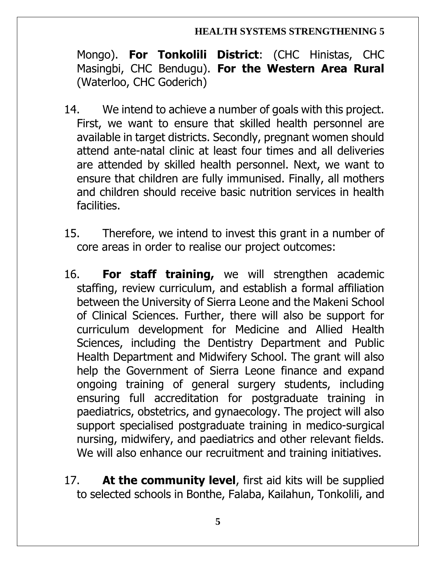Mongo). **For Tonkolili District**: (CHC Hinistas, CHC Masingbi, CHC Bendugu). **For the Western Area Rural** (Waterloo, CHC Goderich)

- 14. We intend to achieve a number of goals with this project. First, we want to ensure that skilled health personnel are available in target districts. Secondly, pregnant women should attend ante-natal clinic at least four times and all deliveries are attended by skilled health personnel. Next, we want to ensure that children are fully immunised. Finally, all mothers and children should receive basic nutrition services in health facilities.
- 15. Therefore, we intend to invest this grant in a number of core areas in order to realise our project outcomes:
- 16. **For staff training,** we will strengthen academic staffing, review curriculum, and establish a formal affiliation between the University of Sierra Leone and the Makeni School of Clinical Sciences. Further, there will also be support for curriculum development for Medicine and Allied Health Sciences, including the Dentistry Department and Public Health Department and Midwifery School. The grant will also help the Government of Sierra Leone finance and expand ongoing training of general surgery students, including ensuring full accreditation for postgraduate training in paediatrics, obstetrics, and gynaecology. The project will also support specialised postgraduate training in medico-surgical nursing, midwifery, and paediatrics and other relevant fields. We will also enhance our recruitment and training initiatives.
- 17. **At the community level**, first aid kits will be supplied to selected schools in Bonthe, Falaba, Kailahun, Tonkolili, and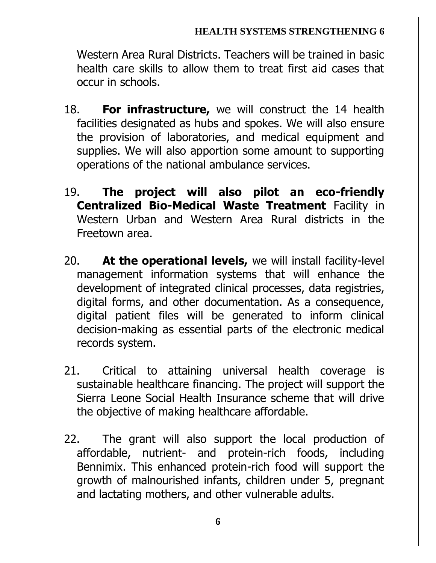Western Area Rural Districts. Teachers will be trained in basic health care skills to allow them to treat first aid cases that occur in schools.

- 18. **For infrastructure,** we will construct the 14 health facilities designated as hubs and spokes. We will also ensure the provision of laboratories, and medical equipment and supplies. We will also apportion some amount to supporting operations of the national ambulance services.
- 19. **The project will also pilot an eco-friendly Centralized Bio-Medical Waste Treatment** Facility in Western Urban and Western Area Rural districts in the Freetown area.
- 20. **At the operational levels,** we will install facility-level management information systems that will enhance the development of integrated clinical processes, data registries, digital forms, and other documentation. As a consequence, digital patient files will be generated to inform clinical decision-making as essential parts of the electronic medical records system.
- 21. Critical to attaining universal health coverage is sustainable healthcare financing. The project will support the Sierra Leone Social Health Insurance scheme that will drive the objective of making healthcare affordable.
- 22. The grant will also support the local production of affordable, nutrient- and protein-rich foods, including Bennimix. This enhanced protein-rich food will support the growth of malnourished infants, children under 5, pregnant and lactating mothers, and other vulnerable adults.